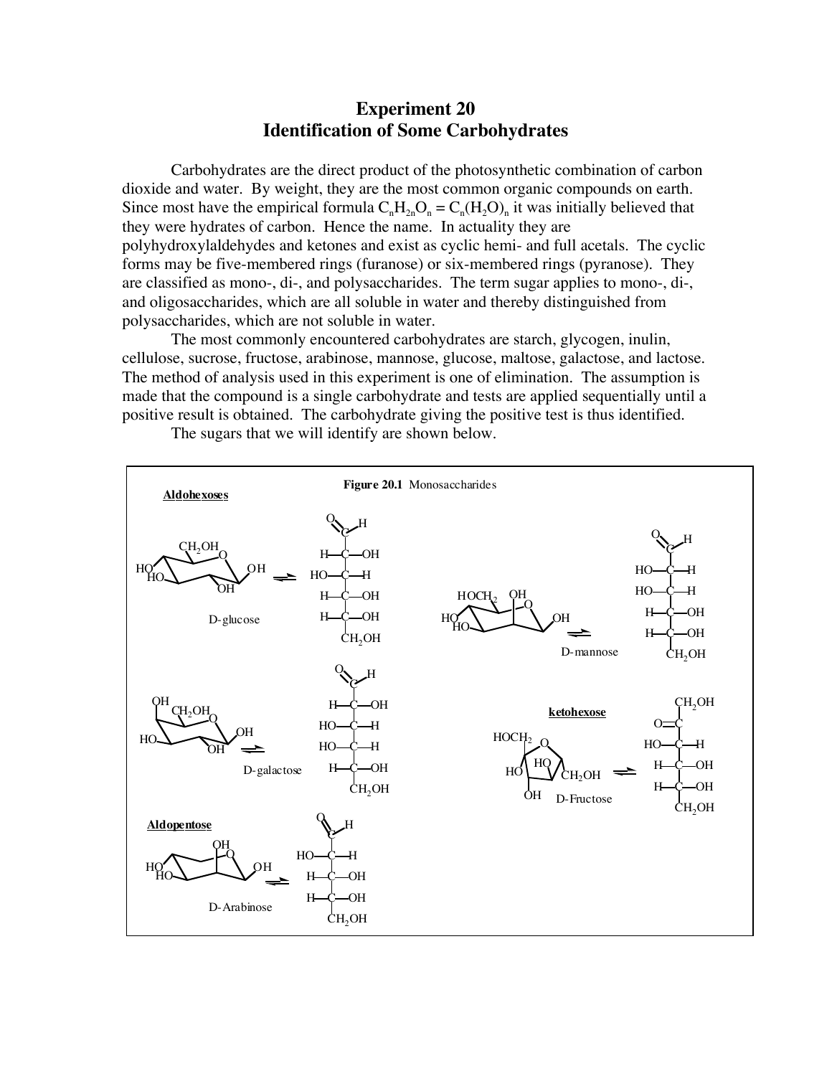# **Experiment 20 Identification of Some Carbohydrates**

Carbohydrates are the direct product of the photosynthetic combination of carbon dioxide and water. By weight, they are the most common organic compounds on earth. Since most have the empirical formula  $C_nH_{2n}O_n = C_n(H_2O)_n$  it was initially believed that they were hydrates of carbon. Hence the name. In actuality they are polyhydroxylaldehydes and ketones and exist as cyclic hemi- and full acetals. The cyclic forms may be five-membered rings (furanose) or six-membered rings (pyranose). They are classified as mono-, di-, and polysaccharides. The term sugar applies to mono-, di-, and oligosaccharides, which are all soluble in water and thereby distinguished from polysaccharides, which are not soluble in water.

The most commonly encountered carbohydrates are starch, glycogen, inulin, cellulose, sucrose, fructose, arabinose, mannose, glucose, maltose, galactose, and lactose. The method of analysis used in this experiment is one of elimination. The assumption is made that the compound is a single carbohydrate and tests are applied sequentially until a positive result is obtained. The carbohydrate giving the positive test is thus identified.



The sugars that we will identify are shown below.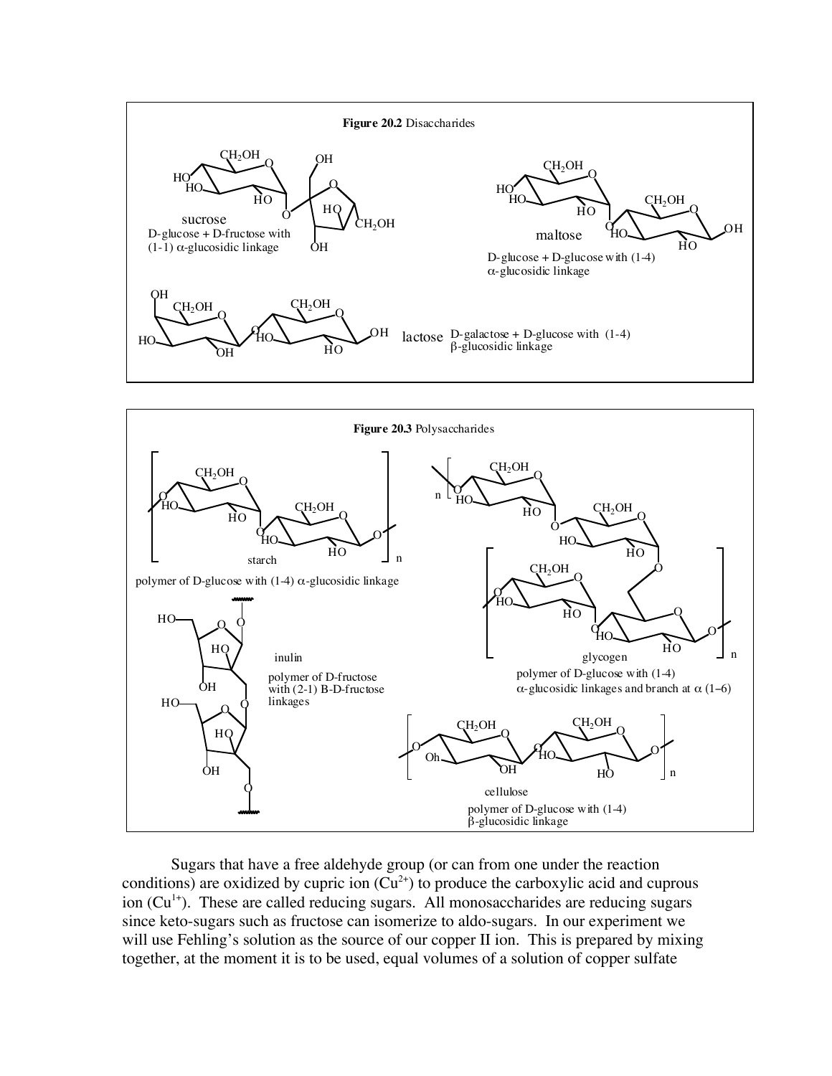



Sugars that have a free aldehyde group (or can from one under the reaction conditions) are oxidized by cupric ion  $(Cu^{2+})$  to produce the carboxylic acid and cuprous ion  $(Cu<sup>1+</sup>)$ . These are called reducing sugars. All monosaccharides are reducing sugars since keto-sugars such as fructose can isomerize to aldo-sugars. In our experiment we will use Fehling's solution as the source of our copper II ion. This is prepared by mixing together, at the moment it is to be used, equal volumes of a solution of copper sulfate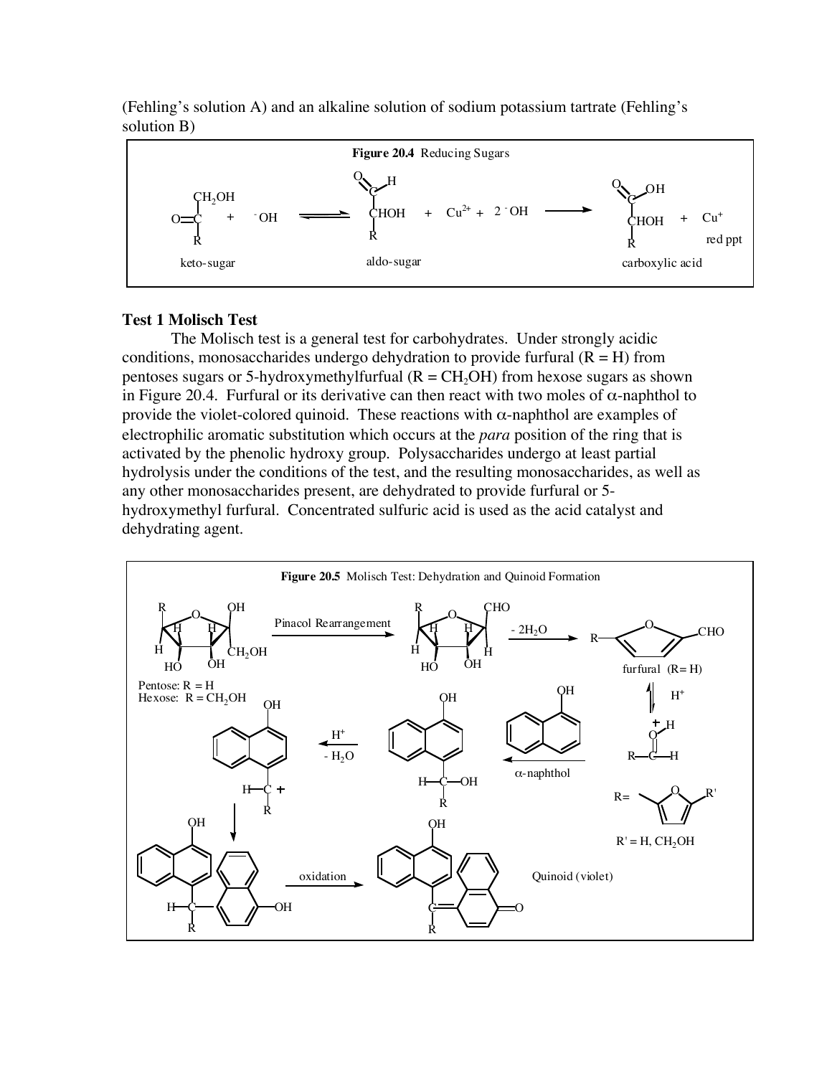

(Fehling's solution A) and an alkaline solution of sodium potassium tartrate (Fehling's solution B)

#### **Test 1 Molisch Test**

The Molisch test is a general test for carbohydrates. Under strongly acidic conditions, monosaccharides undergo dehydration to provide furfural  $(R = H)$  from pentoses sugars or 5-hydroxymethylfurfual  $(R = CH<sub>2</sub>OH)$  from hexose sugars as shown in Figure 20.4. Furfural or its derivative can then react with two moles of  $\alpha$ -naphthol to provide the violet-colored quinoid. These reactions with  $\alpha$ -naphthol are examples of electrophilic aromatic substitution which occurs at the *para* position of the ring that is activated by the phenolic hydroxy group. Polysaccharides undergo at least partial hydrolysis under the conditions of the test, and the resulting monosaccharides, as well as any other monosaccharides present, are dehydrated to provide furfural or 5 hydroxymethyl furfural. Concentrated sulfuric acid is used as the acid catalyst and dehydrating agent.

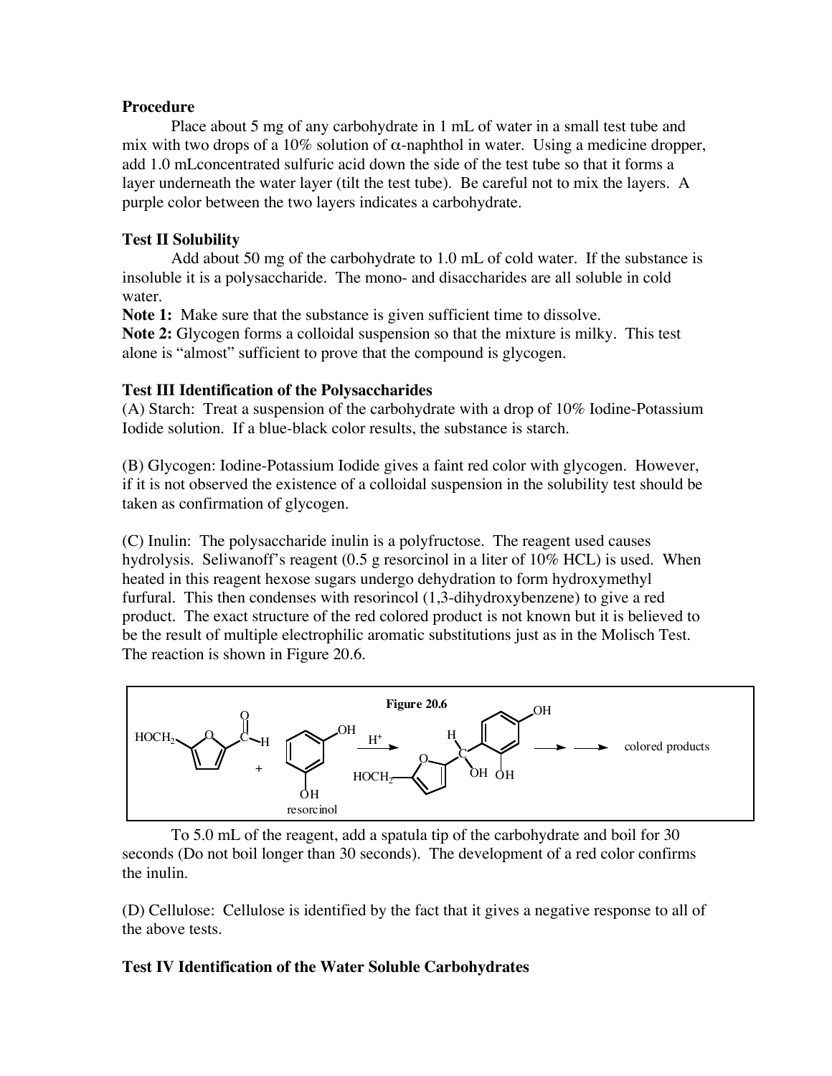#### **Procedure**

Place about 5 mg of any carbohydrate in 1 mL of water in a small test tube and mix with two drops of a 10% solution of  $\alpha$ -naphthol in water. Using a medicine dropper, add 1.0 mLconcentrated sulfuric acid down the side of the test tube so that it forms a layer underneath the water layer (tilt the test tube). Be careful not to mix the layers. A purple color between the two layers indicates a carbohydrate.

## **Test II Solubility**

Add about 50 mg of the carbohydrate to 1.0 mL of cold water. If the substance is insoluble it is a polysaccharide. The mono- and disaccharides are all soluble in cold water.

**Note 1:** Make sure that the substance is given sufficient time to dissolve.

**Note 2:** Glycogen forms a colloidal suspension so that the mixture is milky. This test alone is "almost" sufficient to prove that the compound is glycogen.

### **Test III Identification of the Polysaccharides**

(A) Starch: Treat a suspension of the carbohydrate with a drop of 10% Iodine-Potassium Iodide solution. If a blue-black color results, the substance is starch.

(B) Glycogen: Iodine-Potassium Iodide gives a faint red color with glycogen. However, if it is not observed the existence of a colloidal suspension in the solubility test should be taken as confirmation of glycogen.

(C) Inulin: The polysaccharide inulin is a polyfructose. The reagent used causes hydrolysis. Seliwanoff's reagent (0.5 g resorcinol in a liter of 10% HCL) is used. When heated in this reagent hexose sugars undergo dehydration to form hydroxymethyl furfural. This then condenses with resorincol (1,3-dihydroxybenzene) to give a red product. The exact structure of the red colored product is not known but it is believed to be the result of multiple electrophilic aromatic substitutions just as in the Molisch Test. The reaction is shown in Figure 20.6.



To 5.0 mL of the reagent, add a spatula tip of the carbohydrate and boil for 30 seconds (Do not boil longer than 30 seconds). The development of a red color confirms the inulin.

(D) Cellulose: Cellulose is identified by the fact that it gives a negative response to all of the above tests.

### **Test IV Identification of the Water Soluble Carbohydrates**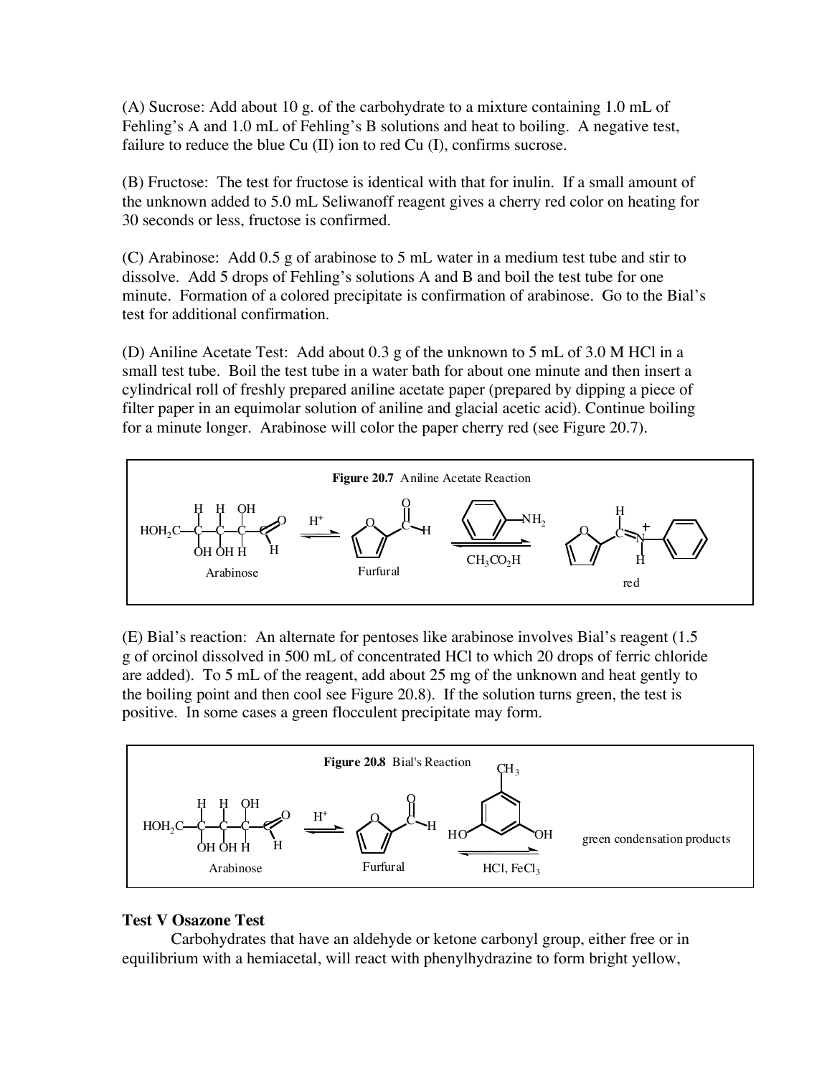(A) Sucrose: Add about 10 g. of the carbohydrate to a mixture containing 1.0 mL of Fehling's A and 1.0 mL of Fehling's B solutions and heat to boiling. A negative test, failure to reduce the blue Cu (II) ion to red Cu (I), confirms sucrose.

(B) Fructose: The test for fructose is identical with that for inulin. If a small amount of the unknown added to 5.0 mL Seliwanoff reagent gives a cherry red color on heating for 30 seconds or less, fructose is confirmed.

(C) Arabinose: Add 0.5 g of arabinose to 5 mL water in a medium test tube and stir to dissolve. Add 5 drops of Fehling's solutions A and B and boil the test tube for one minute. Formation of a colored precipitate is confirmation of arabinose. Go to the Bial's test for additional confirmation.

(D) Aniline Acetate Test: Add about 0.3 g of the unknown to 5 mL of 3.0 M HCl in a small test tube. Boil the test tube in a water bath for about one minute and then insert a cylindrical roll of freshly prepared aniline acetate paper (prepared by dipping a piece of filter paper in an equimolar solution of aniline and glacial acetic acid). Continue boiling for a minute longer. Arabinose will color the paper cherry red (see Figure 20.7).



(E) Bial's reaction: An alternate for pentoses like arabinose involves Bial's reagent (1.5 g of orcinol dissolved in 500 mL of concentrated HCl to which 20 drops of ferric chloride are added). To 5 mL of the reagent, add about 25 mg of the unknown and heat gently to the boiling point and then cool see Figure 20.8). If the solution turns green, the test is positive. In some cases a green flocculent precipitate may form.



### **Test V Osazone Test**

Carbohydrates that have an aldehyde or ketone carbonyl group, either free or in equilibrium with a hemiacetal, will react with phenylhydrazine to form bright yellow,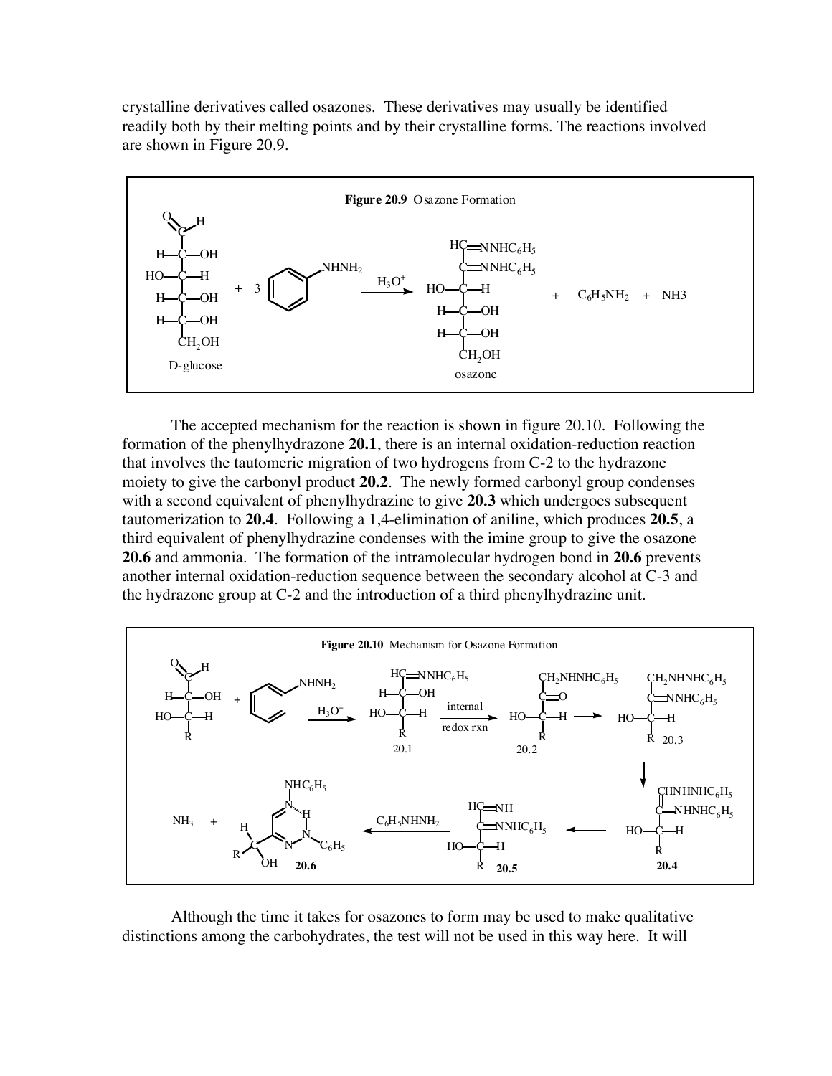crystalline derivatives called osazones. These derivatives may usually be identified readily both by their melting points and by their crystalline forms. The reactions involved are shown in Figure 20.9.



The accepted mechanism for the reaction is shown in figure 20.10. Following the formation of the phenylhydrazone **20.1**, there is an internal oxidation-reduction reaction that involves the tautomeric migration of two hydrogens from C-2 to the hydrazone moiety to give the carbonyl product **20.2**. The newly formed carbonyl group condenses with a second equivalent of phenylhydrazine to give 20.3 which undergoes subsequent tautomerization to **20.4**. Following a 1,4-elimination of aniline, which produces **20.5**, a third equivalent of phenylhydrazine condenses with the imine group to give the osazone **20.6** and ammonia. The formation of the intramolecular hydrogen bond in **20.6** prevents another internal oxidation-reduction sequence between the secondary alcohol at C-3 and the hydrazone group at C-2 and the introduction of a third phenylhydrazine unit.



Although the time it takes for osazones to form may be used to make qualitative distinctions among the carbohydrates, the test will not be used in this way here. It will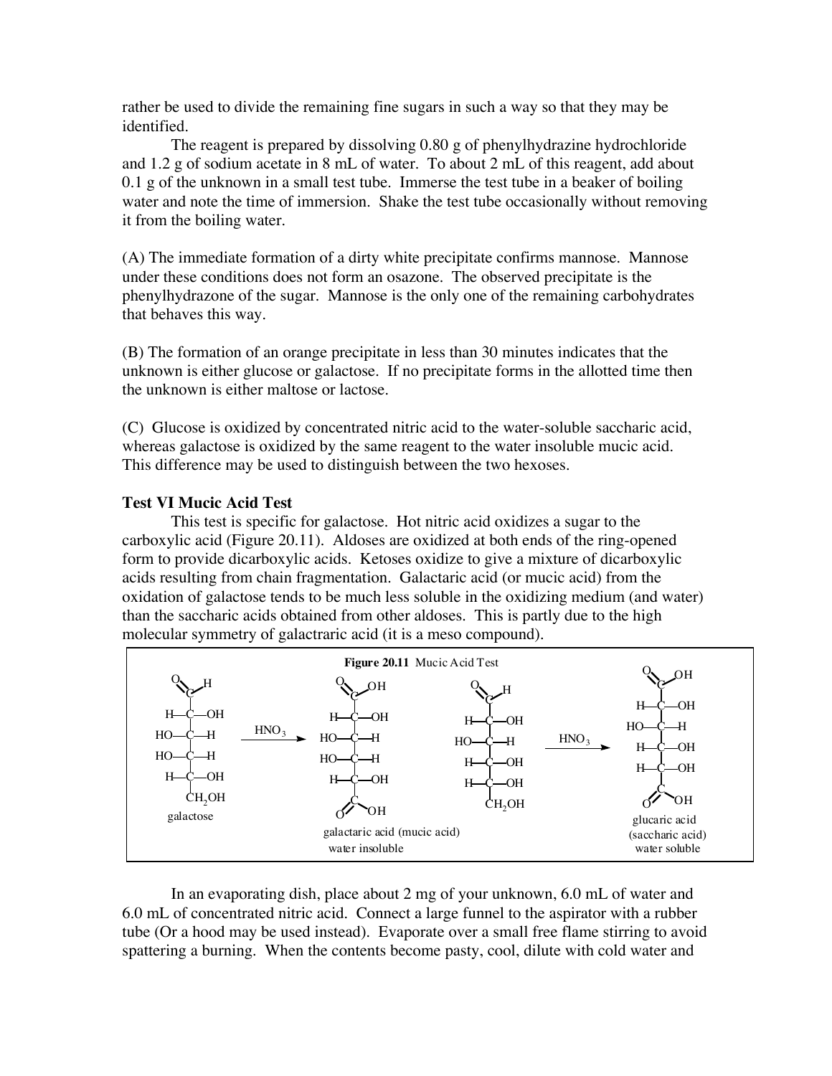rather be used to divide the remaining fine sugars in such a way so that they may be identified.

The reagent is prepared by dissolving 0.80 g of phenylhydrazine hydrochloride and 1.2 g of sodium acetate in 8 mL of water. To about 2 mL of this reagent, add about 0.1 g of the unknown in a small test tube. Immerse the test tube in a beaker of boiling water and note the time of immersion. Shake the test tube occasionally without removing it from the boiling water.

(A) The immediate formation of a dirty white precipitate confirms mannose. Mannose under these conditions does not form an osazone. The observed precipitate is the phenylhydrazone of the sugar. Mannose is the only one of the remaining carbohydrates that behaves this way.

(B) The formation of an orange precipitate in less than 30 minutes indicates that the unknown is either glucose or galactose. If no precipitate forms in the allotted time then the unknown is either maltose or lactose.

(C) Glucose is oxidized by concentrated nitric acid to the water-soluble saccharic acid, whereas galactose is oxidized by the same reagent to the water insoluble mucic acid. This difference may be used to distinguish between the two hexoses.

### **Test VI Mucic Acid Test**

This test is specific for galactose. Hot nitric acid oxidizes a sugar to the carboxylic acid (Figure 20.11). Aldoses are oxidized at both ends of the ring-opened form to provide dicarboxylic acids. Ketoses oxidize to give a mixture of dicarboxylic acids resulting from chain fragmentation. Galactaric acid (or mucic acid) from the oxidation of galactose tends to be much less soluble in the oxidizing medium (and water) than the saccharic acids obtained from other aldoses. This is partly due to the high molecular symmetry of galactraric acid (it is a meso compound).



In an evaporating dish, place about 2 mg of your unknown, 6.0 mL of water and 6.0 mL of concentrated nitric acid. Connect a large funnel to the aspirator with a rubber tube (Or a hood may be used instead). Evaporate over a small free flame stirring to avoid spattering a burning. When the contents become pasty, cool, dilute with cold water and